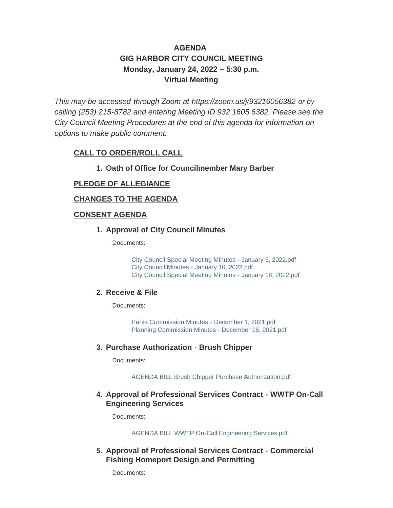# **AGENDA GIG HARBOR CITY COUNCIL MEETING Monday, January 24, 2022 – 5:30 p.m. Virtual Meeting**

*This may be accessed through Zoom at <https://zoom.us/j/93216056382> or by calling (253) 215-8782 and entering Meeting ID 932 1605 6382. Please see the City Council Meeting Procedures at the end of this agenda for information on options to make public comment.*

# **CALL TO ORDER/ROLL CALL**

## **Oath of Office for Councilmember Mary Barber 1.**

## **PLEDGE OF ALLEGIANCE**

#### **CHANGES TO THE AGENDA**

#### **CONSENT AGENDA**

#### **Approval of City Council Minutes 1.**

Documents:

[City Council Special Meeting Minutes - January 3, 2022.pdf](http://www.cityofgigharbor.net/AgendaCenter/ViewFile/Item/744?fileID=1751) [City Council Minutes - January 10, 2022.pdf](http://www.cityofgigharbor.net/AgendaCenter/ViewFile/Item/744?fileID=1753) [City Council Special Meeting Minutes - January 18, 2022.pdf](http://www.cityofgigharbor.net/AgendaCenter/ViewFile/Item/744?fileID=1752)

#### **Receive & File 2.**

Documents:

[Parks Commission Minutes - December 1, 2021.pdf](http://www.cityofgigharbor.net/AgendaCenter/ViewFile/Item/745?fileID=1747) [Planning Commission Minutes - December 16, 2021.pdf](http://www.cityofgigharbor.net/AgendaCenter/ViewFile/Item/745?fileID=1748)

#### **Purchase Authorization - Brush Chipper 3.**

Documents:

[AGENDA BILL Brush Chipper Purchase Authorization.pdf](http://www.cityofgigharbor.net/AgendaCenter/ViewFile/Item/733?fileID=1749)

## **Approval of Professional Services Contract - WWTP On-Call 4. Engineering Services**

Documents:

[AGENDA BILL WWTP On-Call Engineering Services.pdf](http://www.cityofgigharbor.net/AgendaCenter/ViewFile/Item/734?fileID=1756)

#### **Approval of Professional Services Contract - Commercial 5. Fishing Homeport Design and Permitting**

Documents: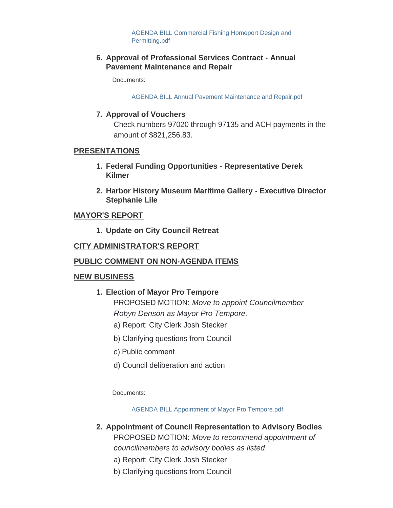[AGENDA BILL Commercial Fishing Homeport Design and](http://www.cityofgigharbor.net/AgendaCenter/ViewFile/Item/730?fileID=1755)  Permitting.pdf

### **Approval of Professional Services Contract - Annual 6. Pavement Maintenance and Repair**

Documents:

[AGENDA BILL Annual Pavement Maintenance and Repair.pdf](http://www.cityofgigharbor.net/AgendaCenter/ViewFile/Item/731?fileID=1754)

# **Approval of Vouchers 7.**

Check numbers 97020 through 97135 and ACH payments in the amount of \$821,256.83.

#### **PRESENTATIONS**

- **Federal Funding Opportunities Representative Derek 1. Kilmer**
- **Harbor History Museum Maritime Gallery Executive Director 2. Stephanie Lile**

## **MAYOR'S REPORT**

**Update on City Council Retreat 1.**

## **CITY ADMINISTRATOR'S REPORT**

#### **PUBLIC COMMENT ON NON-AGENDA ITEMS**

#### **NEW BUSINESS**

- **Election of Mayor Pro Tempore 1.** PROPOSED MOTION: *Move to appoint Councilmember Robyn Denson as Mayor Pro Tempore.*
	- a) Report: City Clerk Josh Stecker
	- b) Clarifying questions from Council
	- c) Public comment
	- d) Council deliberation and action

Documents:

[AGENDA BILL Appointment of Mayor Pro Tempore.pdf](http://www.cityofgigharbor.net/AgendaCenter/ViewFile/Item/738?fileID=1750)

- **Appointment of Council Representation to Advisory Bodies 2.** PROPOSED MOTION: *Move to recommend appointment of councilmembers to advisory bodies as listed.*
	- a) Report: City Clerk Josh Stecker
	- b) Clarifying questions from Council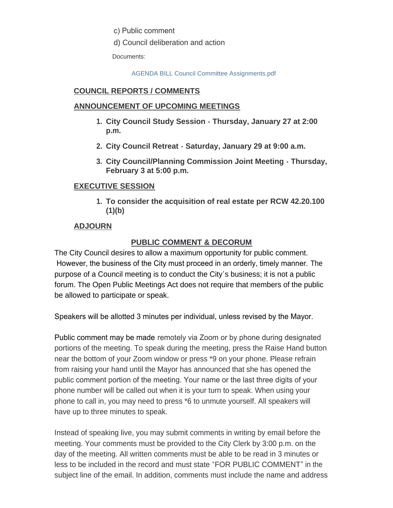c) Public comment

d) Council deliberation and action

Documents:

[AGENDA BILL Council Committee Assignments.pdf](http://www.cityofgigharbor.net/AgendaCenter/ViewFile/Item/739?fileID=1757)

# **COUNCIL REPORTS / COMMENTS**

### **ANNOUNCEMENT OF UPCOMING MEETINGS**

- **City Council Study Session Thursday, January 27 at 2:00 1. p.m.**
- **City Council Retreat Saturday, January 29 at 9:00 a.m. 2.**
- **City Council/Planning Commission Joint Meeting Thursday, 3. February 3 at 5:00 p.m.**

# **EXECUTIVE SESSION**

**To consider the acquisition of real estate per RCW 42.20.100 1.(1)(b)**

# **ADJOURN**

# **PUBLIC COMMENT & DECORUM**

The City Council desires to allow a maximum opportunity for public comment. However, the business of the City must proceed in an orderly, timely manner. The purpose of a Council meeting is to conduct the City's business; it is not a public forum. The Open Public Meetings Act does not require that members of the public be allowed to participate or speak.

Speakers will be allotted 3 minutes per individual, unless revised by the Mayor.

Public comment may be made remotely via Zoom or by phone during designated portions of the meeting. To speak during the meeting, press the Raise Hand button near the bottom of your Zoom window or press \*9 on your phone. Please refrain from raising your hand until the Mayor has announced that she has opened the public comment portion of the meeting. Your name or the last three digits of your phone number will be called out when it is your turn to speak. When using your phone to call in, you may need to press \*6 to unmute yourself. All speakers will have up to three minutes to speak.

Instead of speaking live, you may submit comments in writing by email before the meeting. Your comments must be provided to the City Clerk by 3:00 p.m. on the day of the meeting. All written comments must be able to be read in 3 minutes or less to be included in the record and must state "FOR PUBLIC COMMENT" in the subject line of the email. In addition, comments must include the name and address